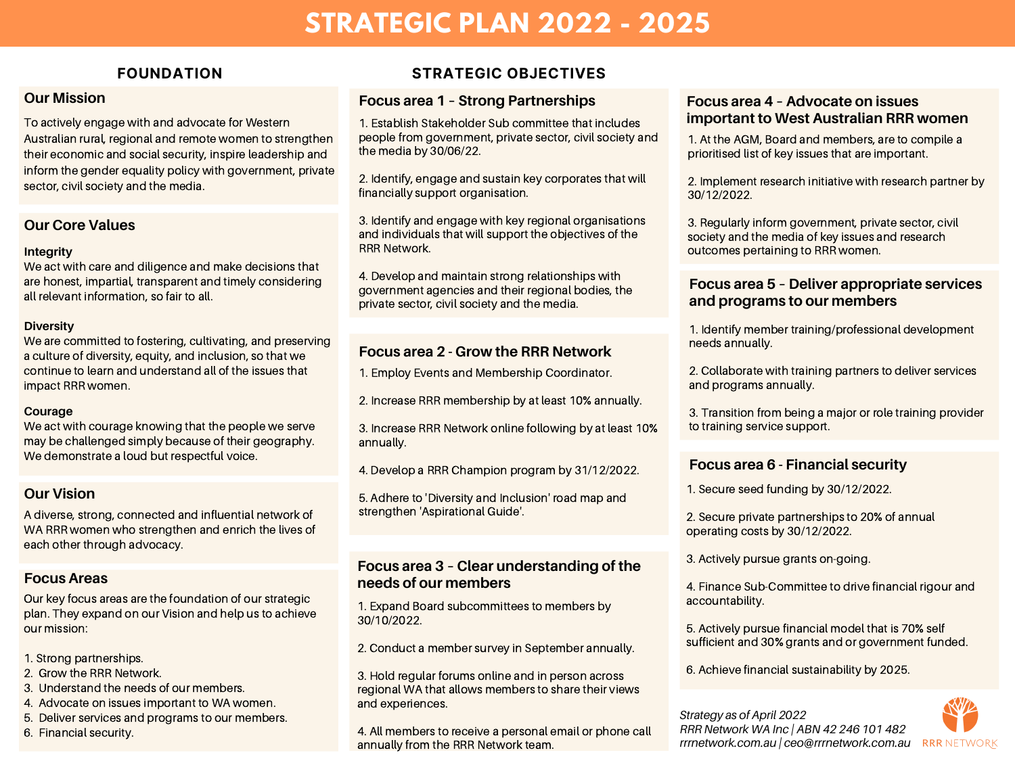# **STRATEGIC PLAN 2022 - 2025**

#### **Our Mission**

To actively engage with and advocate for Western Australian rural, regional and remote women to strengthen their economic and social security, inspire leadership and inform the gender equality policy with government, private sector, civil society and the media.

#### **Our Core Values**

#### **Integrity**

We act with care and diligence and make decisions that are honest, impartial, transparent and timely considering all relevant information, so fair to all.

#### **Diversity**

We are committed to fostering, cultivating, and preserving a culture of diversity, equity, and inclusion, so that we continue to learn and understand all of the issues that impact RRR women.

#### **Courage**

We act with courage knowing that the people we serve may be challenged simply because of their geography. We demonstrate a loud but respectful voice.

#### **Our Vision**

A diverse, strong, connected and influential network of WA RRR women who strengthen and enrich the lives of each other through advocacy.

### **Focus Areas**

Our key focus areas are the foundation of our strategic plan. They expand on our Vision and help us to achieve our mission:

- 1. Strong partnerships.
- 2. Grow the RRR Network.
- 3. Understand the needs of our members.
- 4. Advocate on issues important to WA women.
- 5. Deliver services and programs to our members.
- 6. Financial security.

### **FOUNDATION STRATEGIC OBJECTIVES**

### **Focus area 1 – Strong Partnerships**

**important to West Australian RRR women** 1. Establish Stakeholder Sub committee that includes people from government, private sector, civil society and the media by 30/06/22.

2. Identify, engage and sustain key corporates that will financially support organisation.

3. Identify and engage with key regional organisations and individuals that will support the objectives of the **RRR Network.** 

4. Develop and maintain strong relationships with government agencies and their regional bodies, the private sector, civil society and the media.

# **Focus area 2 - Grow the RRR Network**

1. Employ Events and Membership Coordinator.

2. Increase RRR membership by at least 10% annually.

3. Increase RRR Network online following by at least 10% annually.

4. Develop a RRR Champion program by 31/12/2022.

5. Adhere to 'Diversity and Inclusion' road map and strengthen 'Aspirational Guide'.

#### **Focus area 3 – Clear understanding of the needs of our members**

1. Expand Board subcommittees to members by 30/10/2022.

2. Conduct a member survey in September annually.

3. Hold regular forums online and in person across regional WA that allows members to share their views and experiences.

4. All members to receive a personal email or phone call annually from the RRR Network team.

# **Focus area 4 – Advocate on issues**

1. At the AGM, Board and members, are to compile a prioritised list of key issues that are important.

2. Implement research initiative with research partner by 30/12/2022.

3. Regularly inform government, private sector, civil society and the media of key issues and research outcomes pertaining to RRR women.

#### **Focus area 5 – Deliver appropriate services and programs to our members**

1. Identify member training/professional development needs annually.

2. Collaborate with training partners to deliver services and programs annually.

3. Transition from being a major or role training provider to training service support.

# **Focus area 6 - Financial security**

1. Secure seed funding by 30/12/2022.

2. Secure private partnerships to 20% of annual operating costs by 30/12/2022.

3. Actively pursue grants on-going.

4. Finance Sub-Committee to drive financial rigour and accountability.

5. Actively pursue financial model that is 70% self sufficient and 30% grants and or government funded.

6. Achieve financial sustainability by 2025.

*Strategy as of April 2022 RRR Network WA Inc | ABN 42 246 101 482 rrrnetwork.com.au | ceo@rrrnetwork.com.au*